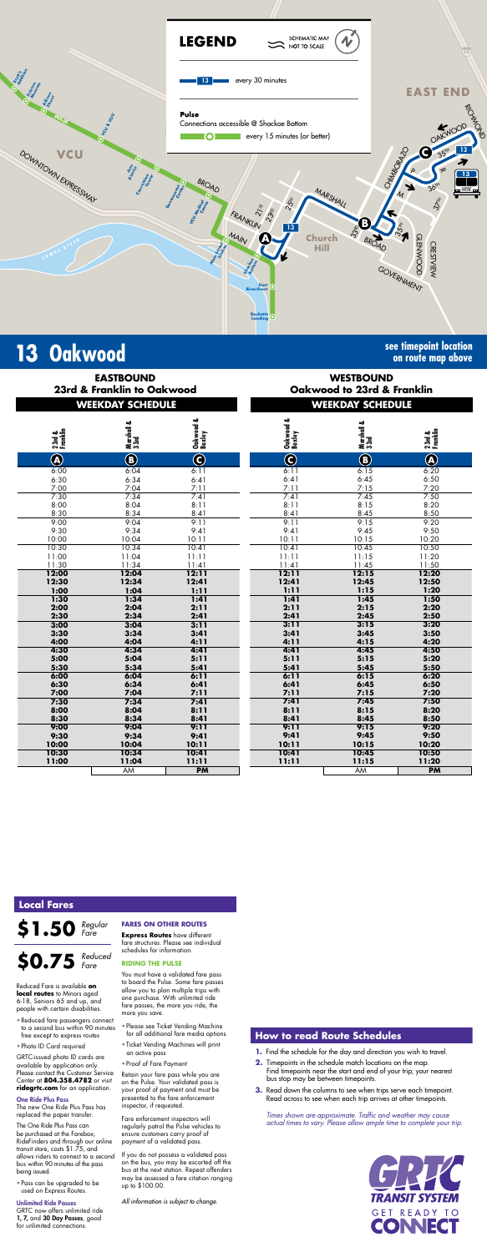

# **13** Oakwood **see timepoint location**<br>an route map above

**on route map above**

|  | <b>EASTBOUND</b>             |                            |
|--|------------------------------|----------------------------|
|  |                              | 23rd & Franklin to Oakwood |
|  | ---- <i>-</i> - --- -------- |                            |

| <b>WESTBOUND</b>               |  |  |  |  |  |
|--------------------------------|--|--|--|--|--|
| Oakwood to 23rd & Franklin     |  |  |  |  |  |
| <i><b>WEEVAAV CAUFBUUF</b></i> |  |  |  |  |  |

|                    | <b>WEEKDAY SCHEDULE</b> |                     |                     | <b>WEEKDAY SCHEDULE</b> |                                      |
|--------------------|-------------------------|---------------------|---------------------|-------------------------|--------------------------------------|
| 23rd &<br>Franklin | Marshall &<br>33rd      | Oakwood &<br>Boxley | Oakwood &<br>Boxley | Marshall &<br>33rd      | 23rd &<br>Franklin                   |
| $\bigcircledR$     | $\bigcirc$              | $\bigodot$          | $\bigodot$          | $\bigcirc$              | $\bigcircledA$                       |
| 6:00               | 6:04                    | 6:11                | 6:11                | 6:15                    | 6:20                                 |
| 6:30               | 6:34                    | 6:41                | 6:41                | 6:45                    |                                      |
| 7:00               | 7:04                    | 7:11                | 7:11                | 7:15                    |                                      |
| 7:30               | 7:34                    | 7:41                | 7:41                | 7:45                    | $6:50$<br>$7:20$<br>$7:50$<br>$8:20$ |
| 8:00               | 8:04                    | 8:11                | 8:11                | 8:15                    |                                      |
| 8:30               | 8:34                    | 8:41                | 8:41                | 8:45                    | $\frac{8:50}{9:20}$                  |
| 9:00               | 9:04                    | 9:11                | 9:11                | 9:15                    |                                      |
| 9:30               | 9:34                    | 9:41                | 9:41                | 9:45                    | 9:5C                                 |
| 10:00              | 10:04                   | 10:11               | 10:11               | 10:15                   | 10:20                                |
| 10:30              | 10:34                   | 10:41               | 10:41               | 10:45                   | 10:5C                                |
| 11:00              | 11:04                   | 11:11               | 11:11               | 11:15                   | 11:20                                |
| 11:30              | 11:34                   | 11:41               | 11:41               | 11:45                   | 11:50                                |
| 12:00              | 12:04                   | 12:11               | 12:11               | 12:15                   | 12:20                                |
| 12:30              | 12:34                   | 12:41               | 12:41               | 12:45                   | 12:50                                |
| 1:00               | 1:04                    | 1:11                | 1:11                | 1:15                    | 1:20                                 |
| 1:30               | 1:34                    | 1:41                | 1:41                | 1:45                    | 1:50                                 |
| 2:00               | 2:04                    | 2:11                | 2:11                | 2:15                    | 2:20                                 |
| 2:30               | 2:34                    | 2:41                | 2:41                | 2:45                    | 2:50                                 |
| 3:00               | 3:04                    | 3:11                | 3:11                | 3:15                    | 3:20                                 |
| 3:30               | 3:34                    | 3:41                | 3:41                | 3:45                    | 3:50                                 |
| 4:00               | 4:04                    | 4:11                | 4:11                | 4:15                    | 4:20                                 |
| 4:30               | 4:34                    | 4:41                | 4:41                | 4:45                    | 4:50                                 |
| 5:00               | 5:04                    | 5:11                | 5:11                | 5:15                    | 5:20                                 |
| 5:30               | 5:34                    | 5:41                | 5:41                | 5:45                    | 5:50                                 |
| 6:00               | 6:04                    | 6:11                | 6:11                | 6:15                    | 6:20                                 |
| 6:30               | 6:34                    | 6:41                | 6:41                | 6:45                    | 6:50                                 |
| 7:00               | 7:04                    | 7:11                | 7:11                | 7:15                    | 7:20                                 |
| 7:30               | 7:34                    | 7:41                | 7:41                | 7:45                    | 7:50                                 |
| 8:00               | 8:04                    | 8:11                | 8:11                | 8:15                    | 8:20                                 |

*Times shown are approximate. Traffic and weather may cause actual times to vary. Please allow ample time to complete your trip.*



| <u>SCHEDULE</u>              |                         | WEEKDAY SCHEDULE        |                    |                    |  |
|------------------------------|-------------------------|-------------------------|--------------------|--------------------|--|
| musnun o.<br>33rd            | Oakwood &<br>Boxley     | Oakwood &<br>Boxley     | Marshall &<br>33rd | 23rd &<br>Franklin |  |
| $\overline{\mathbf{B}}$      | $\overline{\mathbf{C}}$ | $\overline{\mathbf{C}}$ | $\bigcirc$         | $\bigcircledA$     |  |
| $0.04$<br>$0.34$             | 6:11                    | 6:11                    | 6:15               | 6:20               |  |
|                              | 6:41                    | 6:41                    | 6:45               | 6:50               |  |
| .04                          | 7:11                    | 7:11                    | 7:15               | 7:20               |  |
| $\overline{34}$              | 7:41                    | 7:41                    | 7:45               | 7:50               |  |
| :04                          | 8:11                    | 8:11                    | 8:15               | 8:20               |  |
| 34                           | 8:41                    | 8:41                    | 8:45               | 8:50               |  |
| 0.04                         | 9:11                    | 9:11                    | 9:15               | 9:20               |  |
| 0:34                         | 9:41                    | 9:41                    | 9:45               | 9:50               |  |
| 0:04                         | 10:11                   | 10:11                   | 10:15              | 10:20              |  |
| $\sqrt{34}$                  | 10:41                   | 10:41                   | 10:45              | 10:50              |  |
| :04                          | 11:11                   | 11:11                   | 11:15              | 11:20              |  |
| :34                          | 11:41                   | 11:41                   | 11:45              | 11:50              |  |
| $\overline{.}04$             | 12:11                   | 12:11                   | 12:15              | 12:20              |  |
| :34                          | 12:41                   | 12:41                   | 12:45              | 12:50              |  |
| :04                          | 1:11                    | 1:11                    | 1:15               | 1:20               |  |
| $\overline{34}$              | 1:41                    | 1:41                    | 1:45               | 1:50               |  |
| :04                          | 2:11                    | 2:11                    | 2:15               | 2:20               |  |
| :34                          | 2:41                    | 2:41                    | 2:45               | 2:50               |  |
| $\overline{\phantom{a}}$ :04 | 3:11                    | 3:11                    | 3:15               | 3:20               |  |
| :34                          | 3:41                    | 3:41                    | 3:45               | 3:50               |  |
| $\cdot$ :04                  | 4:11                    | 4:11                    | 4:15               | 4:20               |  |
| $\overline{34}$              | 4:41                    | 4:41                    | 4:45               | 4:50               |  |
| :04                          | 5:11                    | 5:11                    | 5:15               | 5:20               |  |
| :34                          | 5:41                    | 5:41                    | 5:45               | 5:50               |  |
| $\overline{.04}$             | 6:11                    | 6:11                    | 6:15               | 6:20               |  |
| :34                          | 6:41                    | 6:41                    | 6:45               | 6:50               |  |
| 9:04                         | 7:11                    | 7:11                    | 7:15               | 7:20               |  |
| $\overline{\mathbf{34}}$     | 7:41                    | 7:41                    | 7:45               | 7:50               |  |
| :04                          | 8:11                    | 8:11                    | 8:15               | 8:20               |  |

\$1.50 *Regular Fare*

| 8:30  | 8:34  | 8:41      | 8:41  | 8:45  | 8:50      |
|-------|-------|-----------|-------|-------|-----------|
| 9:00  | 9:04  | 9:11      | 9:11  | 9:15  | 9:20      |
| 9:30  | 9:34  | 9:41      | 9:41  | 9:45  | 9:50      |
| 10:00 | 10:04 | 10:11     | 10:11 | 10:15 | 10:20     |
| 10:30 | 10:34 | 10:41     | 10:41 | 10:45 | 10:50     |
| 11:00 | 11:04 | 11:11     | 11:11 | 11:15 | 11:20     |
|       | AM    | <b>PM</b> |       | AM    | <b>PM</b> |

### **How to read Route Schedules**

- **1.** Find the schedule for the day and direction you wish to travel.
- **2.** Timepoints in the schedule match locations on the map. Find timepoints near the start and end of your trip; your nearest bus stop may be between timepoints.
- **3.** Read down the columns to see when trips serve each timepoint. Read across to see when each trip arrives at other timepoints.

# **Local Fares**

Reduced Fare is available **on local routes** to Minors aged 6-18, Seniors 65 and up, and people with certain disabilities.

- Reduced fare passengers connect to a second bus within 90 minutes free except to express routes
- Photo ID Card required

GRTC-issued photo ID cards are available by application only. Please contact the Customer Service Center at **804.358.4782** or visit **ridegrtc.com** for an application.

#### One Ride Plus Pass

**\$0.75** *Reduced Fare*

The new One Ride Plus Pass has replaced the paper transfer.

The One Ride Plus Pass can be purchased at the Farebox, RideFinders and through our online transit store, costs \$1.75, and allows riders to connect to a second bus within 90 minutes of the pass being issued.

• Pass can be upgraded to be used on Express Routes.

#### Unlimited Ride Passes

GRTC now offers unlimited ride 1, 7, and 30 Day Passes, good for unlimited connections.

#### **FARES ON OTHER ROUTES**

**Express Routes** have different fare structures. Please see individual schedules for information.

#### **RIDING THE PULSE**

You must have a validated fare pass to board the Pulse. Some fare passes allow you to plan multiple trips with one purchase. With unlimited ride fare passes, the more you ride, the more you save.

- Please see Ticket Vending Machine for all additional fare media options.
- Ticket Vending Machines will print an active pass
- Proof of Fare Payment

Retain your fare pass while you are on the Pulse. Your validated pass is your proof of payment and must be presented to the fare enforcement inspector, if requested.

Fare enforcement inspectors will regularly patrol the Pulse vehicles to ensure customers carry proof of payment of a validated pass.

If you do not possess a validated pass on the bus, you may be escorted off the bus at the next station. Repeat offenders may be assessed a fare citation ranging up to \$100.00.

*All information is subject to change.*